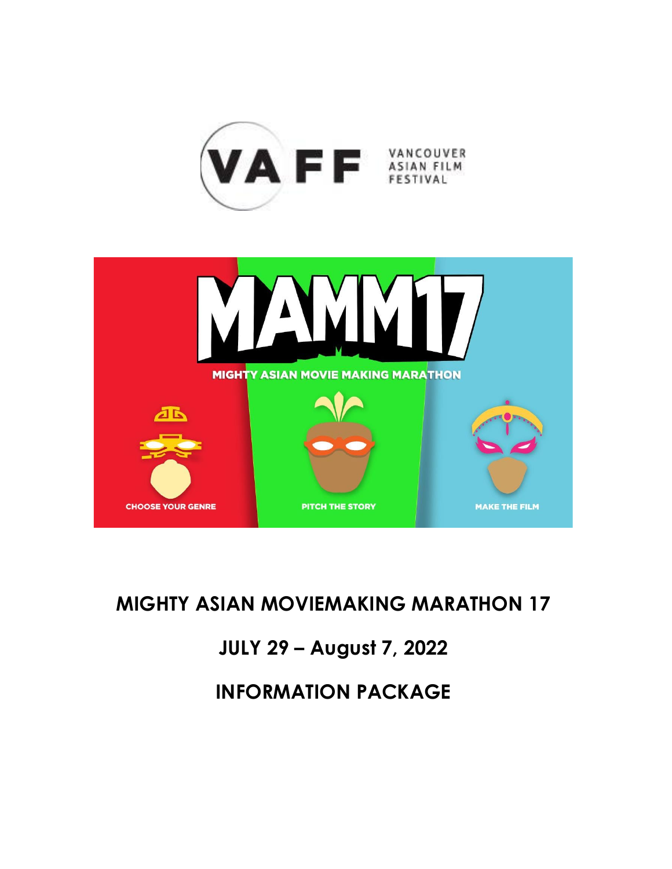



# <span id="page-0-2"></span><span id="page-0-1"></span><span id="page-0-0"></span>**MIGHTY ASIAN MOVIEMAKING MARATHON 17**

# **JULY 29 – August 7, 2022**

**INFORMATION PACKAGE**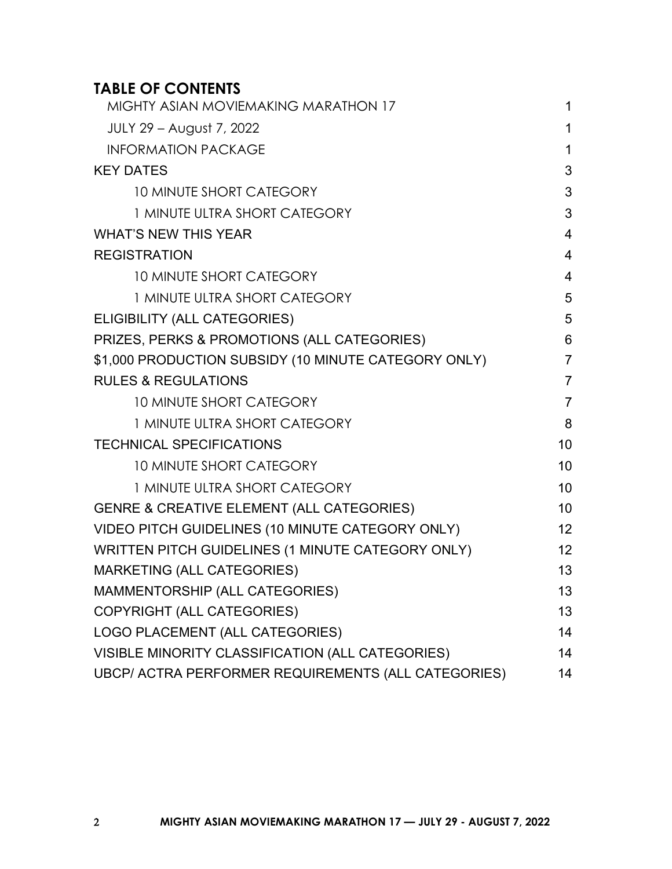## **TABLE OF CONTENTS**

| MIGHTY ASIAN MOVIEMAKING MARATHON 17                 | 1              |
|------------------------------------------------------|----------------|
| JULY 29 – August 7, 2022                             | 1              |
| <b>INFORMATION PACKAGE</b>                           | $\mathbf{1}$   |
| <b>KEY DATES</b>                                     | 3              |
| 10 MINUTE SHORT CATEGORY                             | 3              |
| 1 MINUTE ULTRA SHORT CATEGORY                        | 3              |
| <b>WHAT'S NEW THIS YEAR</b>                          | $\overline{4}$ |
| <b>REGISTRATION</b>                                  | $\overline{4}$ |
| <b>10 MINUTE SHORT CATEGORY</b>                      | $\overline{4}$ |
| 1 MINUTE ULTRA SHORT CATEGORY                        | 5              |
| ELIGIBILITY (ALL CATEGORIES)                         | 5              |
| PRIZES, PERKS & PROMOTIONS (ALL CATEGORIES)          | 6              |
| \$1,000 PRODUCTION SUBSIDY (10 MINUTE CATEGORY ONLY) | $\overline{7}$ |
| <b>RULES &amp; REGULATIONS</b>                       | $\overline{7}$ |
| <b>10 MINUTE SHORT CATEGORY</b>                      | $\overline{7}$ |
| 1 MINUTE ULTRA SHORT CATEGORY                        | 8              |
| <b>TECHNICAL SPECIFICATIONS</b>                      | 10             |
| <b>10 MINUTE SHORT CATEGORY</b>                      | 10             |
| 1 MINUTE ULTRA SHORT CATEGORY                        | 10             |
| <b>GENRE &amp; CREATIVE ELEMENT (ALL CATEGORIES)</b> | 10             |
| VIDEO PITCH GUIDELINES (10 MINUTE CATEGORY ONLY)     | 12             |
| WRITTEN PITCH GUIDELINES (1 MINUTE CATEGORY ONLY)    | 12             |
| <b>MARKETING (ALL CATEGORIES)</b>                    | 13             |
| MAMMENTORSHIP (ALL CATEGORIES)                       | 13             |
| COPYRIGHT (ALL CATEGORIES)                           | 13             |
| LOGO PLACEMENT (ALL CATEGORIES)                      | 14             |
| VISIBLE MINORITY CLASSIFICATION (ALL CATEGORIES)     | 14             |
| UBCP/ ACTRA PERFORMER REQUIREMENTS (ALL CATEGORIES)  | 14             |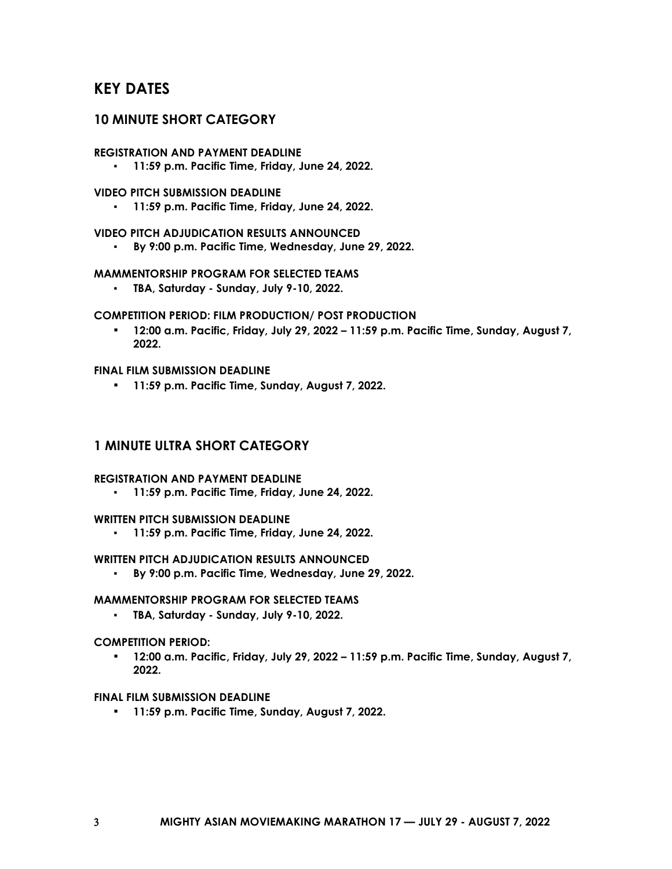### <span id="page-2-0"></span>**KEY DATES**

### <span id="page-2-1"></span>**10 MINUTE SHORT CATEGORY**

#### **REGISTRATION AND PAYMENT DEADLINE**

▪ **11:59 p.m. Pacific Time, Friday, June 24, 2022.**

#### **VIDEO PITCH SUBMISSION DEADLINE**

▪ **11:59 p.m. Pacific Time, Friday, June 24, 2022.**

### **VIDEO PITCH ADJUDICATION RESULTS ANNOUNCED**

▪ **By 9:00 p.m. Pacific Time, Wednesday, June 29, 2022.**

#### **MAMMENTORSHIP PROGRAM FOR SELECTED TEAMS**

▪ **TBA, Saturday - Sunday, July 9-10, 2022.**

#### **COMPETITION PERIOD: FILM PRODUCTION/ POST PRODUCTION**

▪ **12:00 a.m. Pacific, Friday, July 29, 2022 – 11:59 p.m. Pacific Time, Sunday, August 7, 2022.**

### **FINAL FILM SUBMISSION DEADLINE**

▪ **11:59 p.m. Pacific Time, Sunday, August 7, 2022.**

### <span id="page-2-2"></span>**1 MINUTE ULTRA SHORT CATEGORY**

#### **REGISTRATION AND PAYMENT DEADLINE**

▪ **11:59 p.m. Pacific Time, Friday, June 24, 2022.**

#### **WRITTEN PITCH SUBMISSION DEADLINE**

▪ **11:59 p.m. Pacific Time, Friday, June 24, 2022.**

#### **WRITTEN PITCH ADJUDICATION RESULTS ANNOUNCED**

▪ **By 9:00 p.m. Pacific Time, Wednesday, June 29, 2022.**

#### **MAMMENTORSHIP PROGRAM FOR SELECTED TEAMS**

▪ **TBA, Saturday - Sunday, July 9-10, 2022.**

#### **COMPETITION PERIOD:**

▪ **12:00 a.m. Pacific, Friday, July 29, 2022 – 11:59 p.m. Pacific Time, Sunday, August 7, 2022.**

#### **FINAL FILM SUBMISSION DEADLINE**

▪ **11:59 p.m. Pacific Time, Sunday, August 7, 2022.**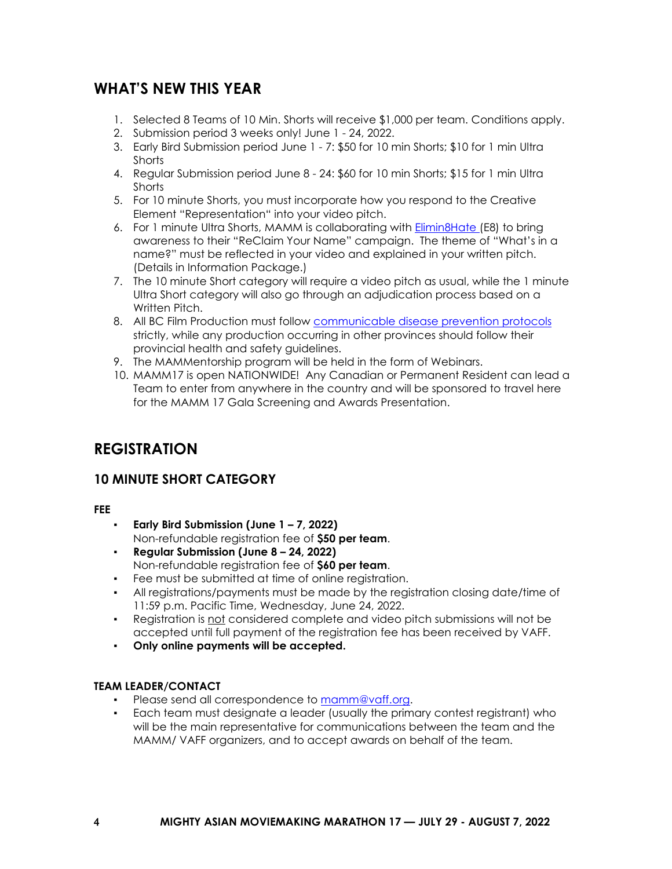### <span id="page-3-0"></span>**WHAT'S NEW THIS YEAR**

- 1. Selected 8 Teams of 10 Min. Shorts will receive \$1,000 per team. Conditions apply.
- 2. Submission period 3 weeks only! June 1 24, 2022.
- 3. Early Bird Submission period June 1 7: \$50 for 10 min Shorts; \$10 for 1 min Ultra **Shorts**
- 4. Regular Submission period June 8 24: \$60 for 10 min Shorts; \$15 for 1 min Ultra **Shorts**
- 5. For 10 minute Shorts, you must incorporate how you respond to the Creative Element "Representation" into your video pitch.
- 6. For 1 minute Ultra Shorts, MAMM is collaborating with [Elimin8Hate \(](https://www.elimin8hate.org/)E8) to bring awareness to their "ReClaim Your Name" campaign. The theme of "What's in a name?" must be reflected in your video and explained in your written pitch. (Details in Information Package.)
- 7. The 10 minute Short category will require a video pitch as usual, while the 1 minute Ultra Short category will also go through an adjudication process based on a Written Pitch.
- 8. All BC Film Production must follow [communicable disease prevention protocols](https://www.worksafebc.com/en/covid-19/covid-19-prevention) strictly, while any production occurring in other provinces should follow their provincial health and safety guidelines.
- 9. The MAMMentorship program will be held in the form of Webinars.
- 10. MAMM17 is open NATIONWIDE! Any Canadian or Permanent Resident can lead a Team to enter from anywhere in the country and will be sponsored to travel here for the MAMM 17 Gala Screening and Awards Presentation.

## <span id="page-3-1"></span>**REGISTRATION**

### <span id="page-3-2"></span>**10 MINUTE SHORT CATEGORY**

**FEE**

- **Early Bird Submission (June 1 – 7, 2022)** Non-refundable registration fee of **\$50 per team**.
- **Regular Submission (June 8 – 24, 2022)** Non-refundable registration fee of **\$60 per team**.
- Fee must be submitted at time of online registration.
- All registrations/payments must be made by the registration closing date/time of 11:59 p.m. Pacific Time, Wednesday, June 24, 2022.
- Registration is not considered complete and video pitch submissions will not be accepted until full payment of the registration fee has been received by VAFF.
- **Only online payments will be accepted.**

### **TEAM LEADER/CONTACT**

- Please send all correspondence to [mamm@vaff.org.](mailto:mamm@vaff.org)
- Each team must designate a leader (usually the primary contest registrant) who will be the main representative for communications between the team and the MAMM/ VAFF organizers, and to accept awards on behalf of the team.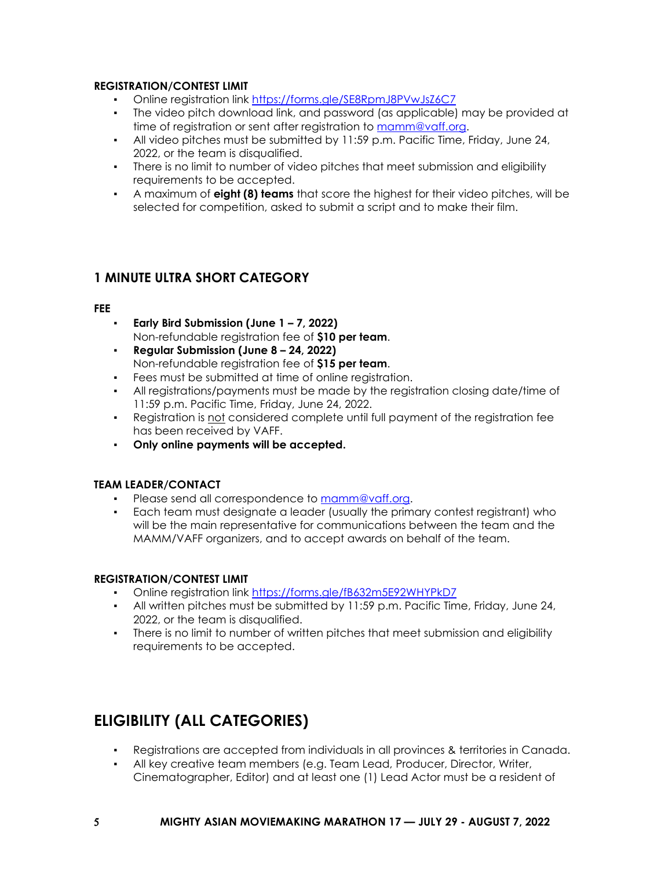### **REGISTRATION/CONTEST LIMIT**

- Online registration lin[k https://forms.gle/SE8RpmJ8PVwJsZ6C7](https://forms.gle/SE8RpmJ8PVwJsZ6C7)
- The video pitch download link, and password (as applicable) may be provided at time of registration or sent after registration to [mamm@vaff.org.](mailto:mamm@vaff.org)
- All video pitches must be submitted by 11:59 p.m. Pacific Time, Friday, June 24, 2022, or the team is disqualified.
- There is no limit to number of video pitches that meet submission and eligibility requirements to be accepted.
- A maximum of **eight (8) teams** that score the highest for their video pitches, will be selected for competition, asked to submit a script and to make their film.

### <span id="page-4-0"></span>**1 MINUTE ULTRA SHORT CATEGORY**

### **FEE**

- **Early Bird Submission (June 1 – 7, 2022)** Non-refundable registration fee of **\$10 per team**.
- **Regular Submission (June 8 – 24, 2022)** Non-refundable registration fee of **\$15 per team**.
- Fees must be submitted at time of online registration.
- All registrations/payments must be made by the registration closing date/time of 11:59 p.m. Pacific Time, Friday, June 24, 2022.
- Registration is not considered complete until full payment of the registration fee has been received by VAFF.
- **Only online payments will be accepted.**

### **TEAM LEADER/CONTACT**

- Please send all correspondence to [mamm@vaff.org.](mailto:mamm@vaff.org)
- Each team must designate a leader (usually the primary contest registrant) who will be the main representative for communications between the team and the MAMM/VAFF organizers, and to accept awards on behalf of the team.

### **REGISTRATION/CONTEST LIMIT**

- Online registration lin[k https://forms.gle/fB632m5E92WHYPkD7](https://forms.gle/fB632m5E92WHYPkD7)
- All written pitches must be submitted by 11:59 p.m. Pacific Time, Friday, June 24, 2022, or the team is disqualified.
- There is no limit to number of written pitches that meet submission and eligibility requirements to be accepted.

## <span id="page-4-1"></span>**ELIGIBILITY (ALL CATEGORIES)**

- Registrations are accepted from individuals in all provinces & territories in Canada.
- All key creative team members (e.g. Team Lead, Producer, Director, Writer, Cinematographer, Editor) and at least one (1) Lead Actor must be a resident of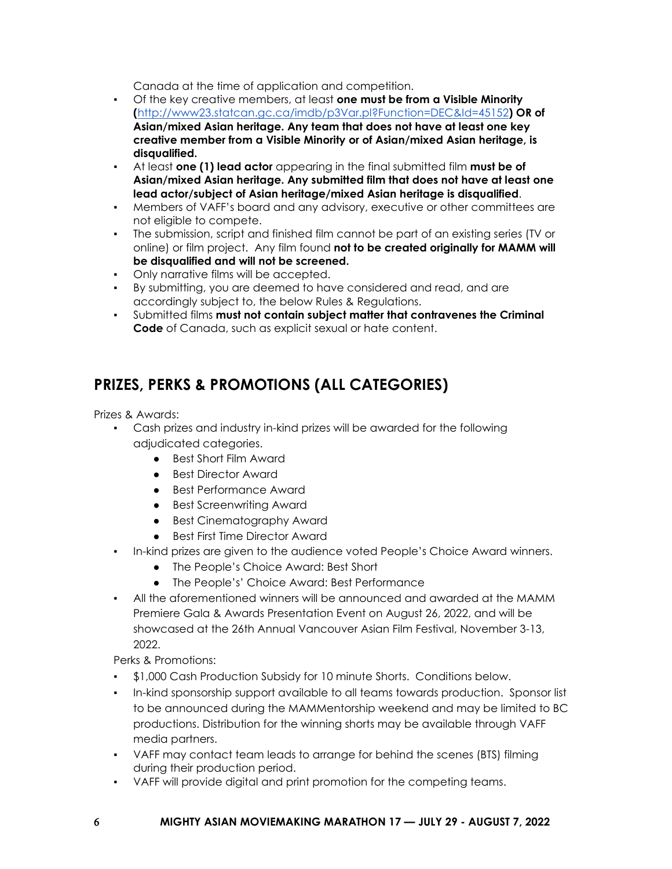Canada at the time of application and competition.

- Of the key creative members, at least **one must be from a Visible Minority (**<http://www23.statcan.gc.ca/imdb/p3Var.pl?Function=DEC&Id=45152>**) OR of Asian/mixed Asian heritage. Any team that does not have at least one key creative member from a Visible Minority or of Asian/mixed Asian heritage, is disqualified.**
- At least **one (1) lead actor** appearing in the final submitted film **must be of Asian/mixed Asian heritage. Any submitted film that does not have at least one lead actor/subject of Asian heritage/mixed Asian heritage is disqualified**.
- Members of VAFF's board and any advisory, executive or other committees are not eligible to compete.
- The submission, script and finished film cannot be part of an existing series (TV or online) or film project. Any film found **not to be created originally for MAMM will be disqualified and will not be screened.**
- Only narrative films will be accepted.
- By submitting, you are deemed to have considered and read, and are accordingly subject to, the below Rules & Regulations.
- Submitted films **must not contain subject matter that contravenes the Criminal Code** of Canada, such as explicit sexual or hate content.

## <span id="page-5-0"></span>**PRIZES, PERKS & PROMOTIONS (ALL CATEGORIES)**

Prizes & Awards:

- Cash prizes and industry in-kind prizes will be awarded for the following adjudicated categories.
	- Best Short Film Award
	- Best Director Award
	- Best Performance Award
	- Best Screenwriting Award
	- Best Cinematography Award
	- Best First Time Director Award
- In-kind prizes are given to the audience voted People's Choice Award winners.
	- The People's Choice Award: Best Short
	- The People's' Choice Award: Best Performance
- All the aforementioned winners will be announced and awarded at the MAMM Premiere Gala & Awards Presentation Event on August 26, 2022, and will be showcased at the 26th Annual Vancouver Asian Film Festival, November 3-13, 2022.

Perks & Promotions:

- \$1,000 Cash Production Subsidy for 10 minute Shorts. Conditions below.
- In-kind sponsorship support available to all teams towards production. Sponsor list to be announced during the MAMMentorship weekend and may be limited to BC productions. Distribution for the winning shorts may be available through VAFF media partners.
- VAFF may contact team leads to arrange for behind the scenes (BTS) filming during their production period.
- VAFF will provide digital and print promotion for the competing teams.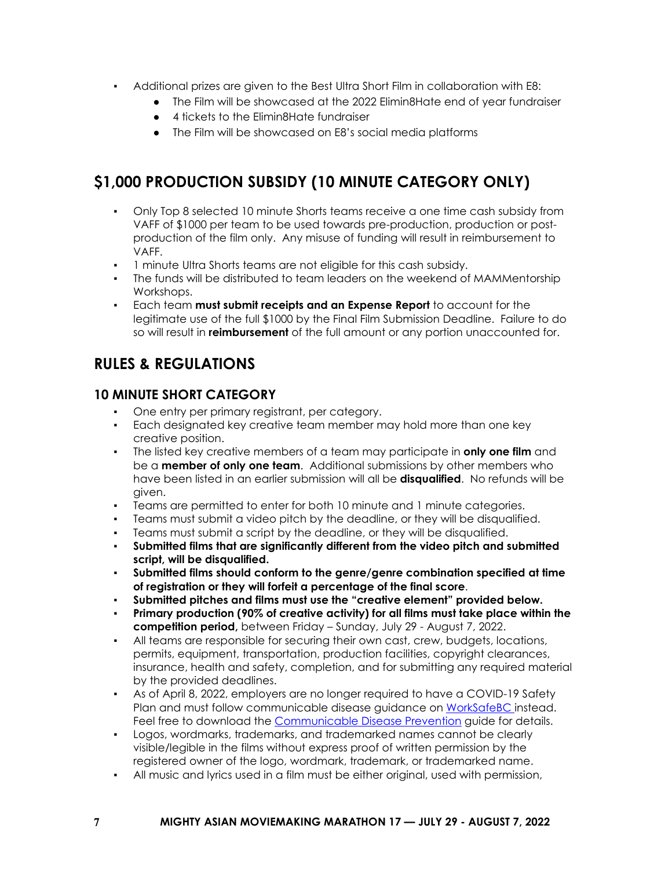- Additional prizes are given to the Best Ultra Short Film in collaboration with E8:
	- The Film will be showcased at the 2022 Elimin8Hate end of year fundraiser
	- 4 tickets to the Flimin8Hate fundraiser
	- The Film will be showcased on E8's social media platforms

## <span id="page-6-0"></span>**\$1,000 PRODUCTION SUBSIDY (10 MINUTE CATEGORY ONLY)**

- Only Top 8 selected 10 minute Shorts teams receive a one time cash subsidy from VAFF of \$1000 per team to be used towards pre-production, production or postproduction of the film only. Any misuse of funding will result in reimbursement to VAFF.
- 1 minute Ultra Shorts teams are not eligible for this cash subsidy.
- The funds will be distributed to team leaders on the weekend of MAMMentorship Workshops.
- Each team **must submit receipts and an Expense Report** to account for the legitimate use of the full \$1000 by the Final Film Submission Deadline. Failure to do so will result in **reimbursement** of the full amount or any portion unaccounted for.

## <span id="page-6-1"></span>**RULES & REGULATIONS**

### <span id="page-6-2"></span>**10 MINUTE SHORT CATEGORY**

- One entry per primary registrant, per category.
- Each designated key creative team member may hold more than one key creative position.
- The listed key creative members of a team may participate in **only one film** and be a **member of only one team**. Additional submissions by other members who have been listed in an earlier submission will all be **disqualified**. No refunds will be given.
- Teams are permitted to enter for both 10 minute and 1 minute categories.
- Teams must submit a video pitch by the deadline, or they will be disqualified.
- Teams must submit a script by the deadline, or they will be disqualified.
- **Submitted films that are significantly different from the video pitch and submitted script, will be disqualified.**
- **Submitted films should conform to the genre/genre combination specified at time of registration or they will forfeit a percentage of the final score**.
- **Submitted pitches and films must use the "creative element" provided below.**
- **Primary production (90% of creative activity) for all films must take place within the competition period,** between Friday – Sunday, July 29 - August 7, 2022.
- All teams are responsible for securing their own cast, crew, budgets, locations, permits, equipment, transportation, production facilities, copyright clearances, insurance, health and safety, completion, and for submitting any required material by the provided deadlines.
- As of April 8, 2022, employers are no longer required to have a COVID-19 Safety Plan and must follow communicable disease guidance on [WorkSafeBC i](https://www.worksafebc.com/en/covid-19/covid-19-prevention)nstead. Feel free to download the [Communicable Disease Prevention](https://www.worksafebc.com/en/resources/health-safety/books-guides/communicable-disease-prevention-guide-employers?lang=en) guide for details.
- Logos, wordmarks, trademarks, and trademarked names cannot be clearly visible/legible in the films without express proof of written permission by the registered owner of the logo, wordmark, trademark, or trademarked name.
- All music and lyrics used in a film must be either original, used with permission,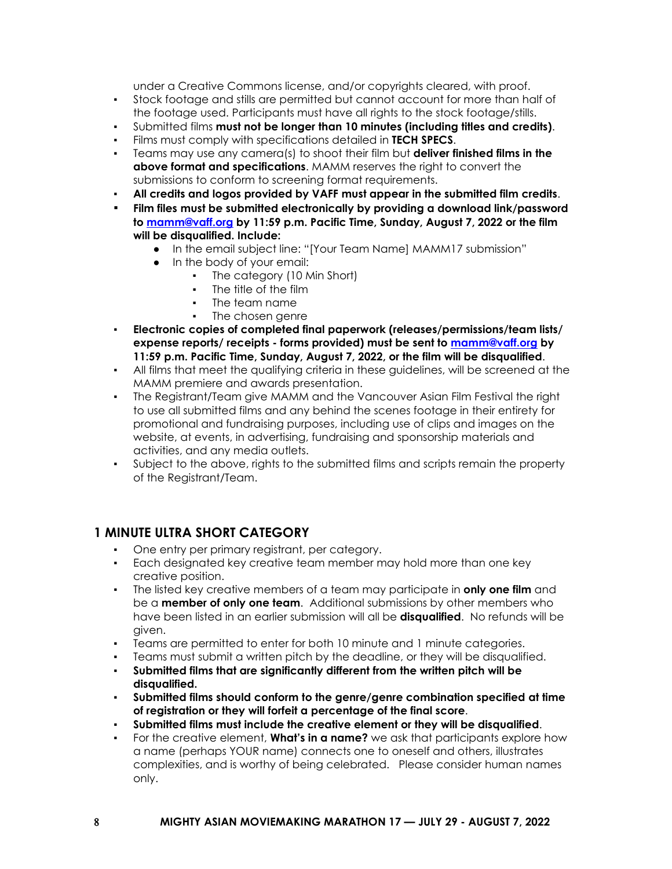under a Creative Commons license, and/or copyrights cleared, with proof.

- Stock footage and stills are permitted but cannot account for more than half of the footage used. Participants must have all rights to the stock footage/stills.
- Submitted films **must not be longer than 10 minutes (including titles and credits)**.
- Films must comply with specifications detailed in **TECH SPECS**.
- Teams may use any camera(s) to shoot their film but **deliver finished films in the above format and specifications**. MAMM reserves the right to convert the submissions to conform to screening format requirements.
- All credits and logos provided by VAFF must appear in the submitted film credits.
- **Film files must be submitted electronically by providing a download link/password to [mamm@vaff.org](mailto:mamm@vaff.org) by 11:59 p.m. Pacific Time, Sunday, August 7, 2022 or the film will be disqualified. Include:**
	- In the email subject line: "[Your Team Name] MAMM17 submission"
	- In the body of your email:
		- The category (10 Min Short)
		- The title of the film
		- The team name
		- The chosen genre
- **Electronic copies of completed final paperwork (releases/permissions/team lists/ expense reports/ receipts - forms provided) must be sent to [mamm@vaff.org](mailto:mamm@vaff.org) by 11:59 p.m. Pacific Time, Sunday, August 7, 2022, or the film will be disqualified**.
- All films that meet the qualifying criteria in these quidelines, will be screened at the MAMM premiere and awards presentation.
- The Registrant/Team give MAMM and the Vancouver Asian Film Festival the right to use all submitted films and any behind the scenes footage in their entirety for promotional and fundraising purposes, including use of clips and images on the website, at events, in advertising, fundraising and sponsorship materials and activities, and any media outlets.
- Subject to the above, rights to the submitted films and scripts remain the property of the Registrant/Team.

### <span id="page-7-0"></span>**1 MINUTE ULTRA SHORT CATEGORY**

- One entry per primary registrant, per category.
- Each designated key creative team member may hold more than one key creative position.
- The listed key creative members of a team may participate in **only one film** and be a **member of only one team**. Additional submissions by other members who have been listed in an earlier submission will all be **disqualified**. No refunds will be given.
- Teams are permitted to enter for both 10 minute and 1 minute categories.
- Teams must submit a written pitch by the deadline, or they will be disqualified.
- Submitted films that are significantly different from the written pitch will be **disqualified.**
- **Submitted films should conform to the genre/genre combination specified at time of registration or they will forfeit a percentage of the final score**.
- **Submitted films must include the creative element or they will be disqualified**.
- For the creative element, **What's in a name?** we ask that participants explore how a name (perhaps YOUR name) connects one to oneself and others, illustrates complexities, and is worthy of being celebrated. Please consider human names only.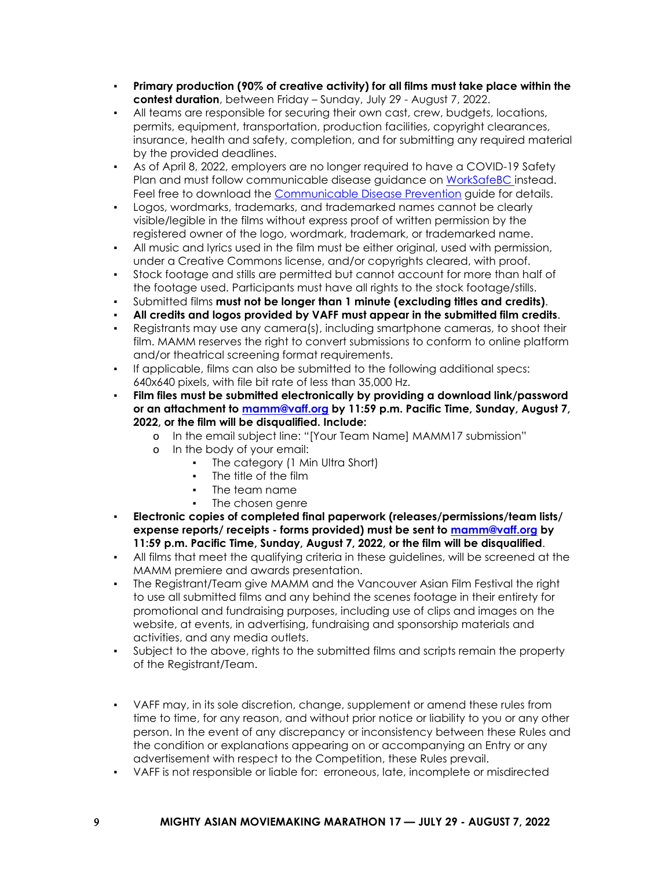- **Primary production (90% of creative activity) for all films must take place within the contest duration**, between Friday – Sunday, July 29 - August 7, 2022.
- All teams are responsible for securing their own cast, crew, budgets, locations, permits, equipment, transportation, production facilities, copyright clearances, insurance, health and safety, completion, and for submitting any required material by the provided deadlines.
- As of April 8, 2022, employers are no longer required to have a COVID-19 Safety Plan and must follow communicable disease guidance on [WorkSafeBC i](https://www.worksafebc.com/en/covid-19/covid-19-prevention)nstead. Feel free to download the [Communicable Disease Prevention](https://www.worksafebc.com/en/resources/health-safety/books-guides/communicable-disease-prevention-guide-employers?lang=en) guide for details.
- Logos, wordmarks, trademarks, and trademarked names cannot be clearly visible/legible in the films without express proof of written permission by the registered owner of the logo, wordmark, trademark, or trademarked name.
- All music and lyrics used in the film must be either original, used with permission, under a Creative Commons license, and/or copyrights cleared, with proof.
- Stock footage and stills are permitted but cannot account for more than half of the footage used. Participants must have all rights to the stock footage/stills.
- Submitted films **must not be longer than 1 minute (excluding titles and credits)**.
- **All credits and logos provided by VAFF must appear in the submitted film credits**.
- Registrants may use any camera(s), including smartphone cameras, to shoot their film. MAMM reserves the right to convert submissions to conform to online platform and/or theatrical screening format requirements.
- If applicable, films can also be submitted to the following additional specs: 640x640 pixels, with file bit rate of less than 35,000 Hz.
- **Film files must be submitted electronically by providing a download link/password or an attachment to [mamm@vaff.org](mailto:mamm@vaff.org) by 11:59 p.m. Pacific Time, Sunday, August 7, 2022, or the film will be disqualified. Include:**
	- o In the email subject line: "[Your Team Name] MAMM17 submission"
	- o In the body of your email:
		- The category (1 Min Ultra Short)
		- The title of the film
		- The team name
		- The chosen genre
- **Electronic copies of completed final paperwork (releases/permissions/team lists/ expense reports/ receipts - forms provided) must be sent to [mamm@vaff.org](mailto:mamm@vaff.org) by 11:59 p.m. Pacific Time, Sunday, August 7, 2022, or the film will be disqualified**.
- All films that meet the qualifying criteria in these guidelines, will be screened at the MAMM premiere and awards presentation.
- The Registrant/Team give MAMM and the Vancouver Asian Film Festival the right to use all submitted films and any behind the scenes footage in their entirety for promotional and fundraising purposes, including use of clips and images on the website, at events, in advertising, fundraising and sponsorship materials and activities, and any media outlets.
- Subject to the above, rights to the submitted films and scripts remain the property of the Registrant/Team.
- VAFF may, in its sole discretion, change, supplement or amend these rules from time to time, for any reason, and without prior notice or liability to you or any other person. In the event of any discrepancy or inconsistency between these Rules and the condition or explanations appearing on or accompanying an Entry or any advertisement with respect to the Competition, these Rules prevail.
- VAFF is not responsible or liable for: erroneous, late, incomplete or misdirected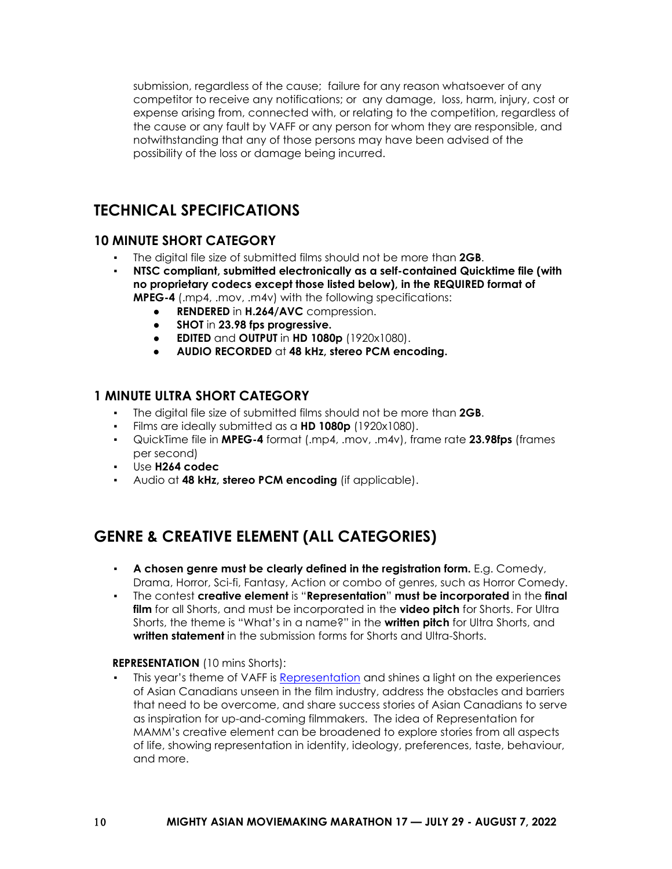submission, regardless of the cause; failure for any reason whatsoever of any competitor to receive any notifications; or any damage, loss, harm, injury, cost or expense arising from, connected with, or relating to the competition, regardless of the cause or any fault by VAFF or any person for whom they are responsible, and notwithstanding that any of those persons may have been advised of the possibility of the loss or damage being incurred.

## <span id="page-9-0"></span>**TECHNICAL SPECIFICATIONS**

### <span id="page-9-1"></span>**10 MINUTE SHORT CATEGORY**

- The digital file size of submitted films should not be more than **2GB**.
- **NTSC compliant, submitted electronically as a self-contained Quicktime file (with no proprietary codecs except those listed below), in the REQUIRED format of MPEG-4** (.mp4, .mov, .m4v) with the following specifications:
	- **RENDERED** in H.264/AVC compression.
	- **SHOT** in **23.98 fps progressive.**
	- **EDITED** and **OUTPUT** in **HD 1080p** (1920x1080).
	- **AUDIO RECORDED** at **48 kHz, stereo PCM encoding.**

### <span id="page-9-2"></span>**1 MINUTE ULTRA SHORT CATEGORY**

- The digital file size of submitted films should not be more than **2GB**.
- Films are ideally submitted as a **HD 1080p** (1920x1080).
- QuickTime file in **MPEG-4** format (.mp4, .mov, .m4v), frame rate **23.98fps** (frames per second)
- Use **H264 codec**
- Audio at **48 kHz, stereo PCM encoding** (if applicable).

## <span id="page-9-3"></span>**GENRE & CREATIVE ELEMENT (ALL CATEGORIES)**

- **A chosen genre must be clearly defined in the registration form.** E.g. Comedy, Drama, Horror, Sci-fi, Fantasy, Action or combo of genres, such as Horror Comedy.
- The contest **creative element** is "**Representation**" **must be incorporated** in the **final film** for all Shorts, and must be incorporated in the **video pitch** for Shorts. For Ultra Shorts, the theme is "What's in a name?" in the **written pitch** for Ultra Shorts, and **written statement** in the submission forms for Shorts and Ultra-Shorts.

### **REPRESENTATION** (10 mins Shorts):

This year's theme of VAFF is [Representation](https://vaff.org/2022-overview/) and shines a light on the experiences of Asian Canadians unseen in the film industry, address the obstacles and barriers that need to be overcome, and share success stories of Asian Canadians to serve as inspiration for up-and-coming filmmakers. The idea of Representation for MAMM's creative element can be broadened to explore stories from all aspects of life, showing representation in identity, ideology, preferences, taste, behaviour, and more.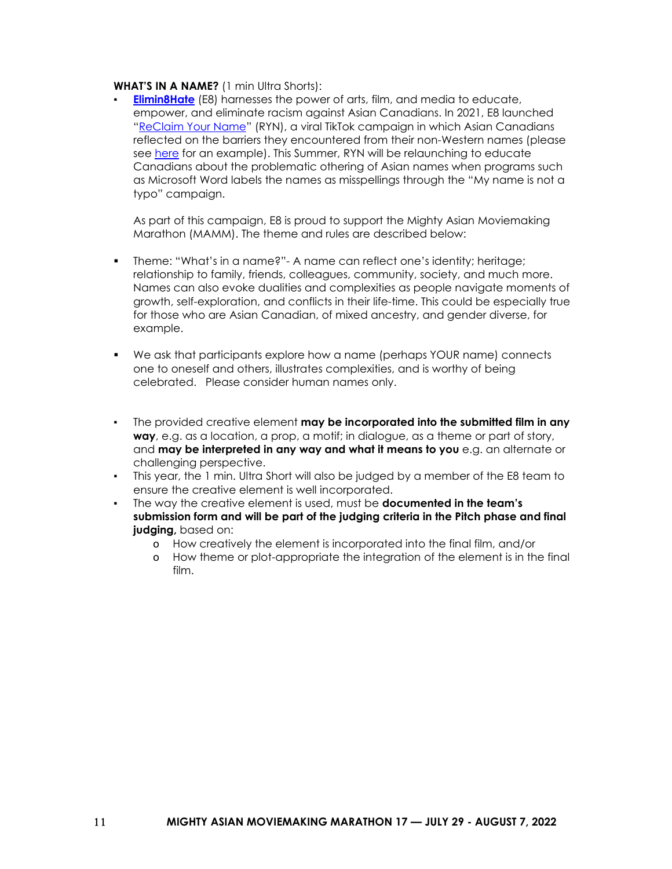#### **WHAT'S IN A NAME?** (1 min Ultra Shorts):

**[Elimin8Hate](https://www.elimin8hate.org/)** (E8) harnesses the power of arts, film, and media to educate, empower, and eliminate racism against Asian Canadians. In 2021, E8 launched ["ReClaim Your Name"](https://www.elimin8hate.org/ryn) (RYN), a viral TikTok campaign in which Asian Canadians reflected on the barriers they encountered from their non-Western names (please see [here](https://www.tiktok.com/@elimin8hate/video/6967114129546988806?refer=embed) for an example). This Summer, RYN will be relaunching to educate Canadians about the problematic othering of Asian names when programs such as Microsoft Word labels the names as misspellings through the "My name is not a typo" campaign.

As part of this campaign, E8 is proud to support the Mighty Asian Moviemaking Marathon (MAMM). The theme and rules are described below:

- Theme: "What's in a name?"- A name can reflect one's identity; heritage; relationship to family, friends, colleagues, community, society, and much more. Names can also evoke dualities and complexities as people navigate moments of growth, self-exploration, and conflicts in their life-time. This could be especially true for those who are Asian Canadian, of mixed ancestry, and gender diverse, for example.
- We ask that participants explore how a name (perhaps YOUR name) connects one to oneself and others, illustrates complexities, and is worthy of being celebrated. Please consider human names only.
- The provided creative element **may be incorporated into the submitted film in any way**, e.g. as a location, a prop, a motif; in dialogue, as a theme or part of story, and **may be interpreted in any way and what it means to you** e.g. an alternate or challenging perspective.
- This year, the 1 min. Ultra Short will also be judged by a member of the E8 team to ensure the creative element is well incorporated.
- The way the creative element is used, must be **documented in the team's submission form and will be part of the judging criteria in the Pitch phase and final judging,** based on:
	- o How creatively the element is incorporated into the final film, and/or
	- o How theme or plot-appropriate the integration of the element is in the final film.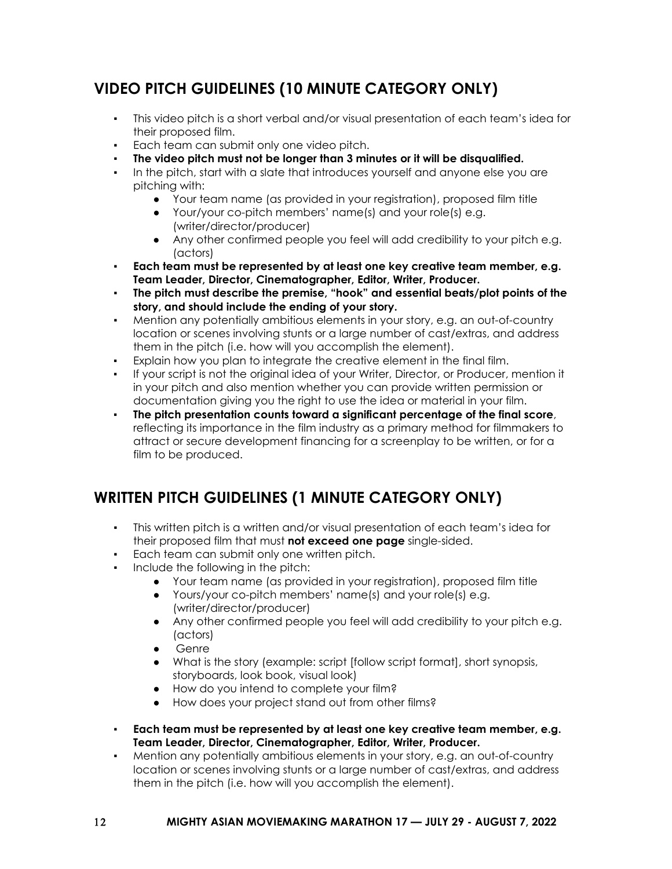## <span id="page-11-0"></span>**VIDEO PITCH GUIDELINES (10 MINUTE CATEGORY ONLY)**

- This video pitch is a short verbal and/or visual presentation of each team's idea for their proposed film.
- Each team can submit only one video pitch.
- **The video pitch must not be longer than 3 minutes or it will be disqualified.**
- In the pitch, start with a slate that introduces yourself and anyone else you are pitching with:
	- Your team name (as provided in your registration), proposed film title
	- Your/your co-pitch members' name(s) and your role(s) e.g. (writer/director/producer)
	- Any other confirmed people you feel will add credibility to your pitch e.g. (actors)
- **Each team must be represented by at least one key creative team member, e.g. Team Leader, Director, Cinematographer, Editor, Writer, Producer.**
- **The pitch must describe the premise, "hook" and essential beats/plot points of the story, and should include the ending of your story.**
- Mention any potentially ambitious elements in your story, e.g. an out-of-country location or scenes involving stunts or a large number of cast/extras, and address them in the pitch (i.e. how will you accomplish the element).
- Explain how you plan to integrate the creative element in the final film.
- If your script is not the original idea of your Writer, Director, or Producer, mention it in your pitch and also mention whether you can provide written permission or documentation giving you the right to use the idea or material in your film.
- **The pitch presentation counts toward a significant percentage of the final score**, reflecting its importance in the film industry as a primary method for filmmakers to attract or secure development financing for a screenplay to be written, or for a film to be produced.

## <span id="page-11-1"></span>**WRITTEN PITCH GUIDELINES (1 MINUTE CATEGORY ONLY)**

- This written pitch is a written and/or visual presentation of each team's idea for their proposed film that must **not exceed one page** single-sided.
- Each team can submit only one written pitch.
- Include the following in the pitch:
	- Your team name (as provided in your registration), proposed film title
	- Yours/your co-pitch members' name(s) and your role(s) e.g. (writer/director/producer)
	- Any other confirmed people you feel will add credibility to your pitch e.g. (actors)
	- Genre
	- What is the story (example: script [follow script format], short synopsis, storyboards, look book, visual look)
	- How do you intend to complete your film?
	- How does your project stand out from other films?
- **Each team must be represented by at least one key creative team member, e.g. Team Leader, Director, Cinematographer, Editor, Writer, Producer.**
- Mention any potentially ambitious elements in your story, e.g. an out-of-country location or scenes involving stunts or a large number of cast/extras, and address them in the pitch (i.e. how will you accomplish the element).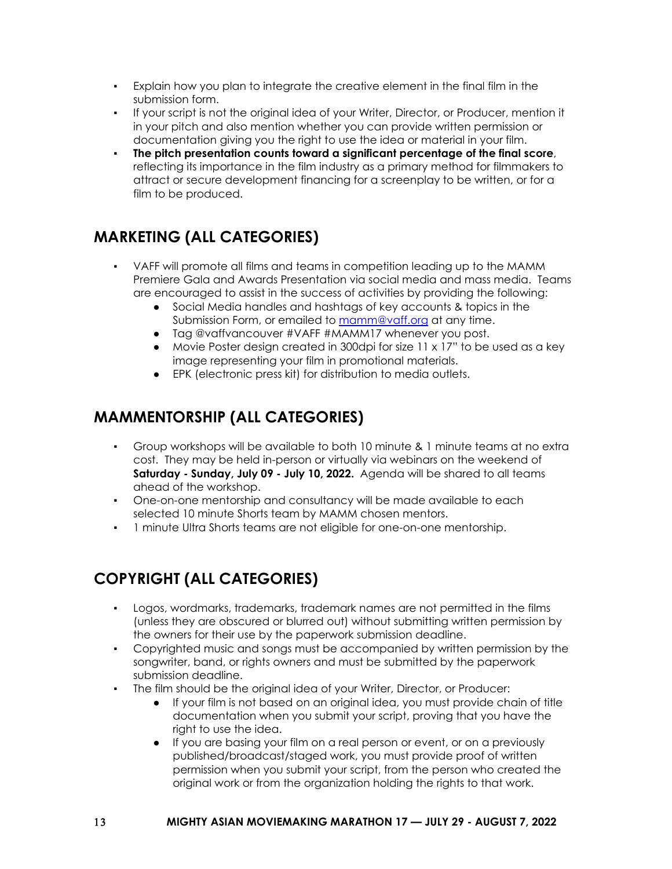- Explain how you plan to integrate the creative element in the final film in the submission form.
- If your script is not the original idea of your Writer, Director, or Producer, mention it in your pitch and also mention whether you can provide written permission or documentation giving you the right to use the idea or material in your film.
- **The pitch presentation counts toward a significant percentage of the final score**, reflecting its importance in the film industry as a primary method for filmmakers to attract or secure development financing for a screenplay to be written, or for a film to be produced.

## <span id="page-12-0"></span>**MARKETING (ALL CATEGORIES)**

- VAFF will promote all films and teams in competition leading up to the MAMM Premiere Gala and Awards Presentation via social media and mass media. Teams are encouraged to assist in the success of activities by providing the following:
	- Social Media handles and hashtags of key accounts & topics in the Submission Form, or emailed to [mamm@vaff.org](mailto:mamm@vaff.org) at any time.
	- Tag @vaffvancouver #VAFF #MAMM17 whenever you post.
	- Movie Poster design created in 300dpi for size 11 x 17" to be used as a key image representing your film in promotional materials.
	- EPK (electronic press kit) for distribution to media outlets.

## <span id="page-12-1"></span>**MAMMENTORSHIP (ALL CATEGORIES)**

- Group workshops will be available to both 10 minute & 1 minute teams at no extra cost. They may be held in-person or virtually via webinars on the weekend of **Saturday - Sunday, July 09 - July 10, 2022.** Agenda will be shared to all teams ahead of the workshop.
- One-on-one mentorship and consultancy will be made available to each selected 10 minute Shorts team by MAMM chosen mentors.
- 1 minute Ultra Shorts teams are not eligible for one-on-one mentorship.

## <span id="page-12-2"></span>**COPYRIGHT (ALL CATEGORIES)**

- Logos, wordmarks, trademarks, trademark names are not permitted in the films (unless they are obscured or blurred out) without submitting written permission by the owners for their use by the paperwork submission deadline.
- Copyrighted music and songs must be accompanied by written permission by the songwriter, band, or rights owners and must be submitted by the paperwork submission deadline.
- The film should be the original idea of your Writer, Director, or Producer:
	- If your film is not based on an original idea, you must provide chain of title documentation when you submit your script, proving that you have the right to use the idea.
	- If you are basing your film on a real person or event, or on a previously published/broadcast/staged work, you must provide proof of written permission when you submit your script, from the person who created the original work or from the organization holding the rights to that work.